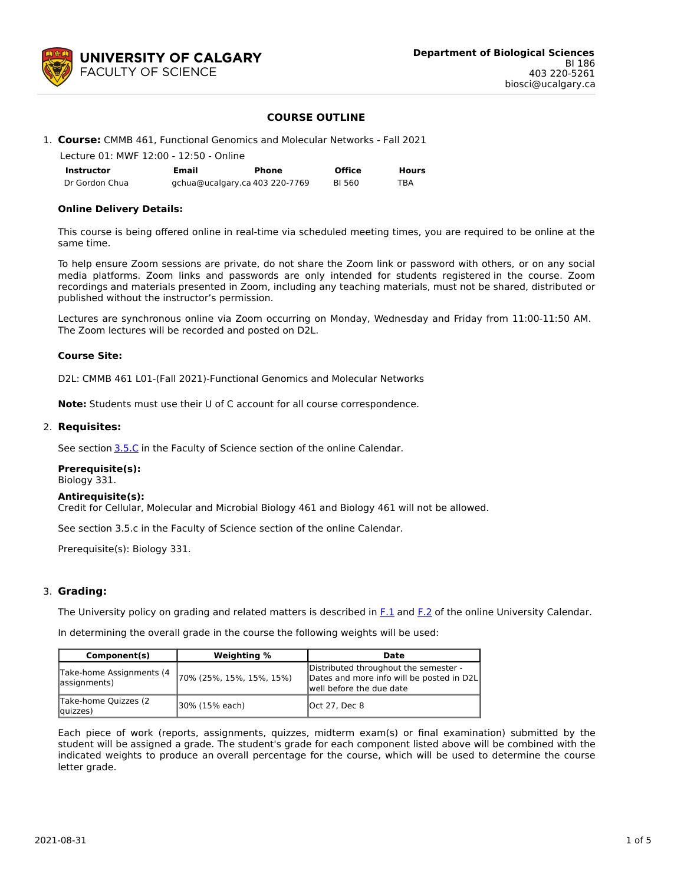

### **COURSE OUTLINE**

### 1. **Course:** CMMB 461, Functional Genomics and Molecular Networks - Fall 2021

| Lecture 01: MWF 12:00 - 12:50 - Online |       |                                |               |              |
|----------------------------------------|-------|--------------------------------|---------------|--------------|
| Instructor                             | Email | Phone                          | <b>Office</b> | <b>Hours</b> |
| Dr Gordon Chua                         |       | gchua@ucalgary.ca 403 220-7769 | BI 560        | TRA          |

### **Online Delivery Details:**

This course is being offered online in real-time via scheduled meeting times, you are required to be online at the same time.

To help ensure Zoom sessions are private, do not share the Zoom link or password with others, or on any social media platforms. Zoom links and passwords are only intended for students registered in the course. Zoom recordings and materials presented in Zoom, including any teaching materials, must not be shared, distributed or published without the instructor's permission.

Lectures are synchronous online via Zoom occurring on Monday, Wednesday and Friday from 11:00-11:50 AM. The Zoom lectures will be recorded and posted on D2L.

### **Course Site:**

D2L: CMMB 461 L01-(Fall 2021)-Functional Genomics and Molecular Networks

**Note:** Students must use their U of C account for all course correspondence.

#### 2. **Requisites:**

See section [3.5.C](http://www.ucalgary.ca/pubs/calendar/current/sc-3-5.html) in the Faculty of Science section of the online Calendar.

### **Prerequisite(s):**

Biology 331.

### **Antirequisite(s):**

Credit for Cellular, Molecular and Microbial Biology 461 and Biology 461 will not be allowed.

See section 3.5.c in the Faculty of Science section of the online Calendar.

Prerequisite(s): Biology 331.

### 3. **Grading:**

The University policy on grading and related matters is described in [F.1](http://www.ucalgary.ca/pubs/calendar/current/f-1.html) and [F.2](http://www.ucalgary.ca/pubs/calendar/current/f-2.html) of the online University Calendar.

In determining the overall grade in the course the following weights will be used:

| Component(s)                               | Weighting %               | <b>Date</b>                                                                                                    |
|--------------------------------------------|---------------------------|----------------------------------------------------------------------------------------------------------------|
| Take-home Assignments (4)<br>(assignments) | (70% (25%, 15%, 15%, 15%) | Distributed throughout the semester -<br>Dates and more info will be posted in D2L<br>well before the due date |
| Take-home Quizzes (2)<br>quizzes)          | 30% (15% each)            | <b>Oct 27, Dec 8</b>                                                                                           |

Each piece of work (reports, assignments, quizzes, midterm exam(s) or final examination) submitted by the student will be assigned a grade. The student's grade for each component listed above will be combined with the indicated weights to produce an overall percentage for the course, which will be used to determine the course letter grade.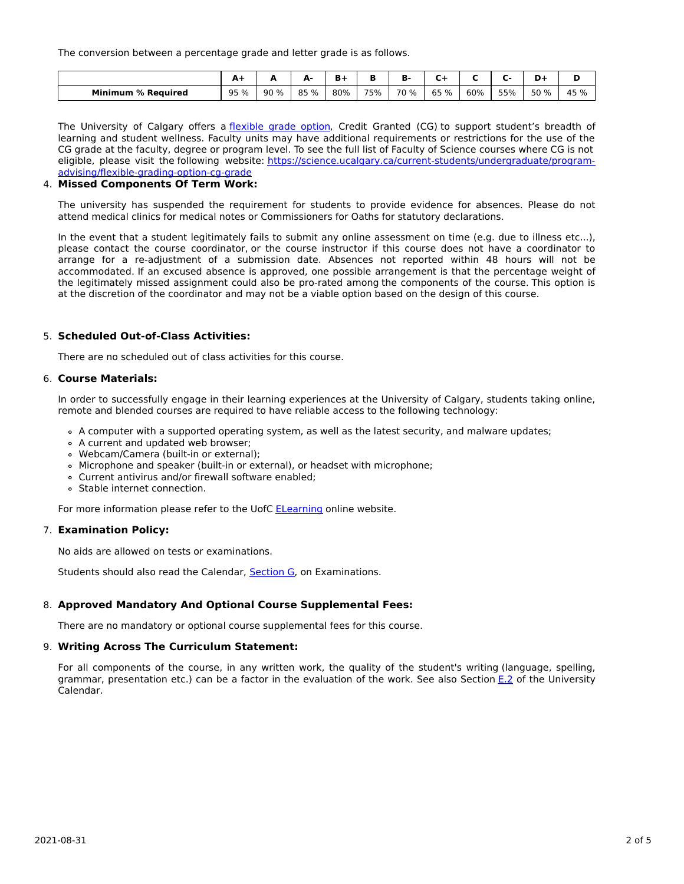The conversion between a percentage grade and letter grade is as follows.

|                           | <u>ат</u> | -   | д.<br><b></b> |     |     | Ð<br>ъ. |      |     |     | D+   | Ð    |
|---------------------------|-----------|-----|---------------|-----|-----|---------|------|-----|-----|------|------|
| <b>Minimum % Required</b> | 95 %      | 90% | 85 %          | 80% | 75% | 70 %    | 65 % | 60% | 55% | 50 % | 45 % |

The University of Calgary offers a [flexible](https://www.ucalgary.ca/pubs/calendar/current/f-1-3.html) grade option, Credit Granted (CG) to support student's breadth of learning and student wellness. Faculty units may have additional requirements or restrictions for the use of the CG grade at the faculty, degree or program level. To see the full list of Faculty of Science courses where CG is not eligible, please visit the following website: [https://science.ucalgary.ca/current-students/undergraduate/program](https://science.ucalgary.ca/current-students/undergraduate/program-advising/flexible-grading-option-cg-grade)advising/flexible-grading-option-cg-grade

# 4. **Missed Components Of Term Work:**

The university has suspended the requirement for students to provide evidence for absences. Please do not attend medical clinics for medical notes or Commissioners for Oaths for statutory declarations.

In the event that a student legitimately fails to submit any online assessment on time (e.g. due to illness etc...), please contact the course coordinator, or the course instructor if this course does not have a coordinator to arrange for a re-adjustment of a submission date. Absences not reported within 48 hours will not be accommodated. If an excused absence is approved, one possible arrangement is that the percentage weight of the legitimately missed assignment could also be pro-rated among the components of the course. This option is at the discretion of the coordinator and may not be a viable option based on the design of this course.

## 5. **Scheduled Out-of-Class Activities:**

There are no scheduled out of class activities for this course.

### 6. **Course Materials:**

In order to successfully engage in their learning experiences at the University of Calgary, students taking online, remote and blended courses are required to have reliable access to the following technology:

- A computer with a supported operating system, as well as the latest security, and malware updates;
- A current and updated web browser;
- Webcam/Camera (built-in or external);
- Microphone and speaker (built-in or external), or headset with microphone;
- Current antivirus and/or firewall software enabled;
- Stable internet connection.

For more information please refer to the UofC **[ELearning](https://elearn.ucalgary.ca/technology-requirements-for-students)** online website.

# 7. **Examination Policy:**

No aids are allowed on tests or examinations.

Students should also read the Calendar, [Section](http://www.ucalgary.ca/pubs/calendar/current/g.html) G, on Examinations.

## 8. **Approved Mandatory And Optional Course Supplemental Fees:**

There are no mandatory or optional course supplemental fees for this course.

## 9. **Writing Across The Curriculum Statement:**

For all components of the course, in any written work, the quality of the student's writing (language, spelling, grammar, presentation etc.) can be a factor in the evaluation of the work. See also Section [E.2](http://www.ucalgary.ca/pubs/calendar/current/e-2.html) of the University Calendar.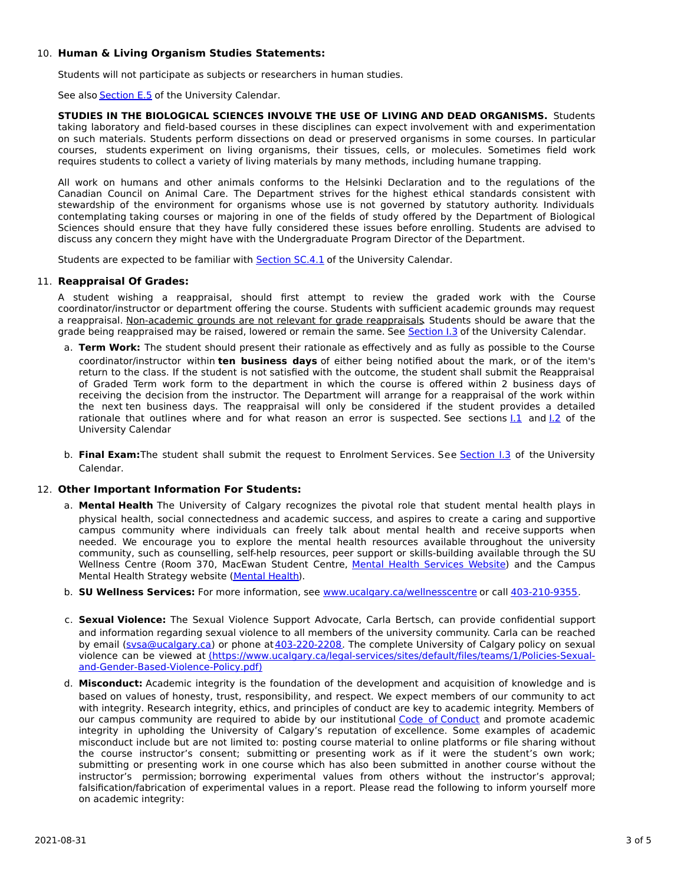# 10. **Human & Living Organism Studies Statements:**

Students will not participate as subjects or researchers in human studies.

See also **[Section](http://www.ucalgary.ca/pubs/calendar/current/e-5.html) E.5** of the University Calendar.

**STUDIES IN THE BIOLOGICAL SCIENCES INVOLVE THE USE OF LIVING AND DEAD ORGANISMS.** Students taking laboratory and field-based courses in these disciplines can expect involvement with and experimentation on such materials. Students perform dissections on dead or preserved organisms in some courses. In particular courses, students experiment on living organisms, their tissues, cells, or molecules. Sometimes field work requires students to collect a variety of living materials by many methods, including humane trapping.

All work on humans and other animals conforms to the Helsinki Declaration and to the regulations of the Canadian Council on Animal Care. The Department strives for the highest ethical standards consistent with stewardship of the environment for organisms whose use is not governed by statutory authority. Individuals contemplating taking courses or majoring in one of the fields of study offered by the Department of Biological Sciences should ensure that they have fully considered these issues before enrolling. Students are advised to discuss any concern they might have with the Undergraduate Program Director of the Department.

Students are expected to be familiar with **[Section](http://www.ucalgary.ca/pubs/calendar/current/sc-4-1.html) SC.4.1** of the University Calendar.

# 11. **Reappraisal Of Grades:**

A student wishing a reappraisal, should first attempt to review the graded work with the Course coordinator/instructor or department offering the course. Students with sufficient academic grounds may request a reappraisal. Non-academic grounds are not relevant for grade reappraisals. Students should be aware that the grade being reappraised may be raised, lowered or remain the same. See [Section](http://www.ucalgary.ca/pubs/calendar/current/i-3.html) I.3 of the University Calendar.

- a. **Term Work:** The student should present their rationale as effectively and as fully as possible to the Course coordinator/instructor within **ten business days** of either being notified about the mark, or of the item's return to the class. If the student is not satisfied with the outcome, the student shall submit the Reappraisal of Graded Term work form to the department in which the course is offered within 2 business days of receiving the decision from the instructor. The Department will arrange for a reappraisal of the work within the next ten business days. The reappraisal will only be considered if the student provides a detailed rationale that outlines where and for what reason an error is suspected. See sections  $1.1$  and  $1.2$  of the University Calendar
- b. **Final Exam:**The student shall submit the request to Enrolment Services. See [Section](http://www.ucalgary.ca/pubs/calendar/current/i-3.html) I.3 of the University Calendar.

## 12. **Other Important Information For Students:**

- a. **Mental Health** The University of Calgary recognizes the pivotal role that student mental health plays in physical health, social connectedness and academic success, and aspires to create a caring and supportive campus community where individuals can freely talk about mental health and receive supports when needed. We encourage you to explore the mental health resources available throughout the university community, such as counselling, self-help resources, peer support or skills-building available through the SU Wellness Centre (Room 370, MacEwan Student Centre, Mental Health [Services](https://www.ucalgary.ca/wellnesscentre/services/mental-health-services) Website) and the Campus Mental Health Strategy website [\(Mental](http://www.ucalgary.ca/mentalhealth) Health).
- b. **SU Wellness Services:** For more information, see [www.ucalgary.ca/wellnesscentre](http://www.ucalgary.ca/wellnesscentre) or call [403-210-9355.](tel:4032109355)
- c. **Sexual Violence:** The Sexual Violence Support Advocate, Carla Bertsch, can provide confidential support and information regarding sexual violence to all members of the university community. Carla can be reached by email [\(svsa@ucalgary.ca](mailto:svsa@ucalgary.ca)) or phone at [403-220-2208](tel:4032202208). The complete University of Calgary policy on sexual violence can be viewed at [\(https://www.ucalgary.ca/legal-services/sites/default/files/teams/1/Policies-Sexual](https://www.ucalgary.ca/legal-services/sites/default/files/teams/1/Policies-Sexual-and-Gender-Based-Violence-Policy.pdf)and-Gender-Based-Violence-Policy.pdf)
- d. **Misconduct:** Academic integrity is the foundation of the development and acquisition of knowledge and is based on values of honesty, trust, responsibility, and respect. We expect members of our community to act with integrity. Research integrity, ethics, and principles of conduct are key to academic integrity. Members of our campus community are required to abide by our institutional Code of [Conduct](https://www.ucalgary.ca/legal-services/sites/default/files/teams/1/Policies-Code-of-Conduct.pdf) and promote academic integrity in upholding the University of Calgary's reputation of excellence. Some examples of academic misconduct include but are not limited to: posting course material to online platforms or file sharing without the course instructor's consent; submitting or presenting work as if it were the student's own work; submitting or presenting work in one course which has also been submitted in another course without the instructor's permission; borrowing experimental values from others without the instructor's approval; falsification/fabrication of experimental values in a report. Please read the following to inform yourself more on academic integrity: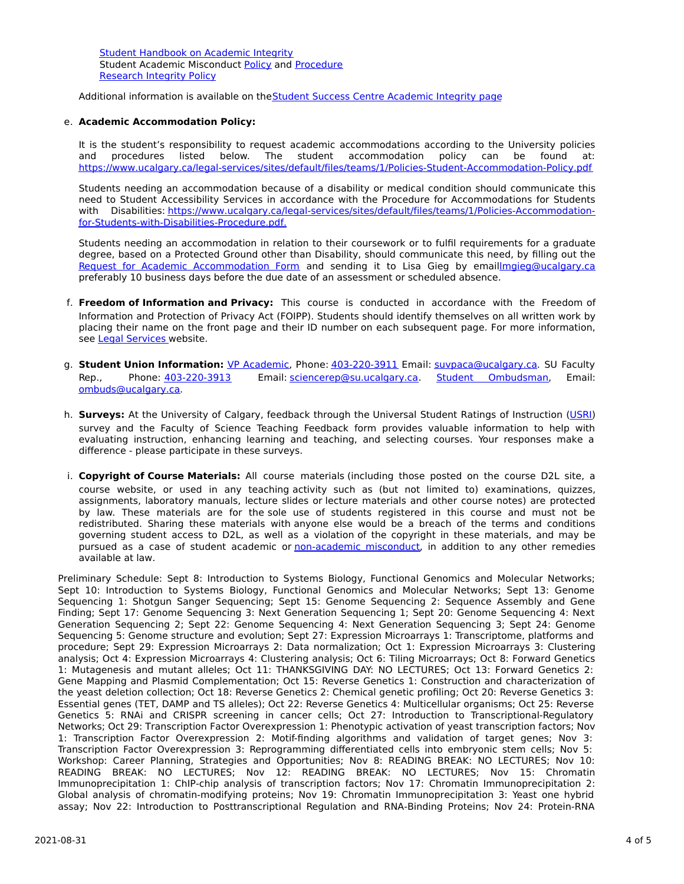Student [Handbook](https://www.ucalgary.ca/live-uc-ucalgary-site/sites/default/files/teams/9/AI-Student-handbook-1.pdf) on Academic Integrity Student Academic Misconduct [Policy](https://www.ucalgary.ca/legal-services/sites/default/files/teams/1/Policies-Student-Academic-Misconduct-Policy.pdf) and [Procedure](https://www.ucalgary.ca/legal-services/sites/default/files/teams/1/Policies-Student-Academic-Misconduct-Procedure.pdf) [Research](https://www.ucalgary.ca/legal-services/sites/default/files/teams/1/Policies-Research-Integrity-Policy.pdf) Integrity Policy

Additional information is available on theStudent Success Centre [Academic](https://ucalgary.ca/student-services/student-success/learning/academic-integrity) Integrity page

# e. **Academic Accommodation Policy:**

It is the student's responsibility to request academic accommodations according to the University policies and procedures listed below. The student accommodation policy can be found at: <https://www.ucalgary.ca/legal-services/sites/default/files/teams/1/Policies-Student-Accommodation-Policy.pdf>

Students needing an accommodation because of a disability or medical condition should communicate this need to Student Accessibility Services in accordance with the Procedure for Accommodations for Students with Disabilities: [https://www.ucalgary.ca/legal-services/sites/default/files/teams/1/Policies-Accommodation](https://www.ucalgary.ca/legal-services/sites/default/files/teams/1/Policies-Accommodation-for-Students-with-Disabilities-Procedure.pdf)for-Students-with-Disabilities-Procedure.pdf.

Students needing an accommodation in relation to their coursework or to fulfil requirements for a graduate degree, based on a Protected Ground other than Disability, should communicate this need, by filling out the Request for Academic [Accommodation](https://science.ucalgary.ca/sites/default/files/teams/1/request-accommodation-academic-courses.pdf) Form and sending it to Lisa Gieg by emai[llmgieg@ucalgary.ca](mailto:lmgieg@ucalgary.ca) preferably 10 business days before the due date of an assessment or scheduled absence.

- f. **Freedom of Information and Privacy:** This course is conducted in accordance with the Freedom of Information and Protection of Privacy Act (FOIPP). Students should identify themselves on all written work by placing their name on the front page and their ID number on each subsequent page. For more information, see Legal [Services](https://www.ucalgary.ca/legal-services/access-information-privacy) website.
- g. **Student Union Information:** VP [Academic](http://www.su.ucalgary.ca/contact), Phone: [403-220-3911](tel:4032203911) Email: [suvpaca@ucalgary.ca](mailto:suvpaca@ucalgary.ca). SU Faculty Rep., Phone: [403-220-3913](tel:4032203913) Email: [sciencerep@su.ucalgary.ca](mailto:sciencerep@su.ucalgary.ca). Student [Ombudsman](https://www.ucalgary.ca/ombuds/), Email: [ombuds@ucalgary.ca](mailto:%20ombuds@ucalgary.ca).
- h. **Surveys:** At the University of Calgary, feedback through the Universal Student Ratings of Instruction [\(USRI](http://www.ucalgary.ca/usri)) survey and the Faculty of Science Teaching Feedback form provides valuable information to help with evaluating instruction, enhancing learning and teaching, and selecting courses. Your responses make a difference - please participate in these surveys.
- i. **Copyright of Course Materials:** All course materials (including those posted on the course D2L site, a course website, or used in any teaching activity such as (but not limited to) examinations, quizzes, assignments, laboratory manuals, lecture slides or lecture materials and other course notes) are protected by law. These materials are for the sole use of students registered in this course and must not be redistributed. Sharing these materials with anyone else would be a breach of the terms and conditions governing student access to D2L, as well as a violation of the copyright in these materials, and may be pursued as a case of student academic or [non-academic](https://www.ucalgary.ca/conduct/policy/non-academic-misconduct-policy) misconduct, in addition to any other remedies available at law.

Preliminary Schedule: Sept 8: Introduction to Systems Biology, Functional Genomics and Molecular Networks; Sept 10: Introduction to Systems Biology, Functional Genomics and Molecular Networks; Sept 13: Genome Sequencing 1: Shotgun Sanger Sequencing; Sept 15: Genome Sequencing 2: Sequence Assembly and Gene Finding; Sept 17: Genome Sequencing 3: Next Generation Sequencing 1; Sept 20: Genome Sequencing 4: Next Generation Sequencing 2; Sept 22: Genome Sequencing 4: Next Generation Sequencing 3; Sept 24: Genome Sequencing 5: Genome structure and evolution; Sept 27: Expression Microarrays 1: Transcriptome, platforms and procedure; Sept 29: Expression Microarrays 2: Data normalization; Oct 1: Expression Microarrays 3: Clustering analysis; Oct 4: Expression Microarrays 4: Clustering analysis; Oct 6: Tiling Microarrays; Oct 8: Forward Genetics 1: Mutagenesis and mutant alleles; Oct 11: THANKSGIVING DAY: NO LECTURES; Oct 13: Forward Genetics 2: Gene Mapping and Plasmid Complementation; Oct 15: Reverse Genetics 1: Construction and characterization of the yeast deletion collection; Oct 18: Reverse Genetics 2: Chemical genetic profiling; Oct 20: Reverse Genetics 3: Essential genes (TET, DAMP and TS alleles); Oct 22: Reverse Genetics 4: Multicellular organisms; Oct 25: Reverse Genetics 5: RNAi and CRISPR screening in cancer cells; Oct 27: Introduction to Transcriptional-Regulatory Networks; Oct 29: Transcription Factor Overexpression 1: Phenotypic activation of yeast transcription factors; Nov 1: Transcription Factor Overexpression 2: Motif-finding algorithms and validation of target genes; Nov 3: Transcription Factor Overexpression 3: Reprogramming differentiated cells into embryonic stem cells; Nov 5: Workshop: Career Planning, Strategies and Opportunities; Nov 8: READING BREAK: NO LECTURES; Nov 10: READING BREAK: NO LECTURES; Nov 12: READING BREAK: NO LECTURES; Nov 15: Chromatin Immunoprecipitation 1: ChIP-chip analysis of transcription factors; Nov 17: Chromatin Immunoprecipitation 2: Global analysis of chromatin-modifying proteins; Nov 19: Chromatin Immunoprecipitation 3: Yeast one hybrid assay; Nov 22: Introduction to Posttranscriptional Regulation and RNA-Binding Proteins; Nov 24: Protein-RNA